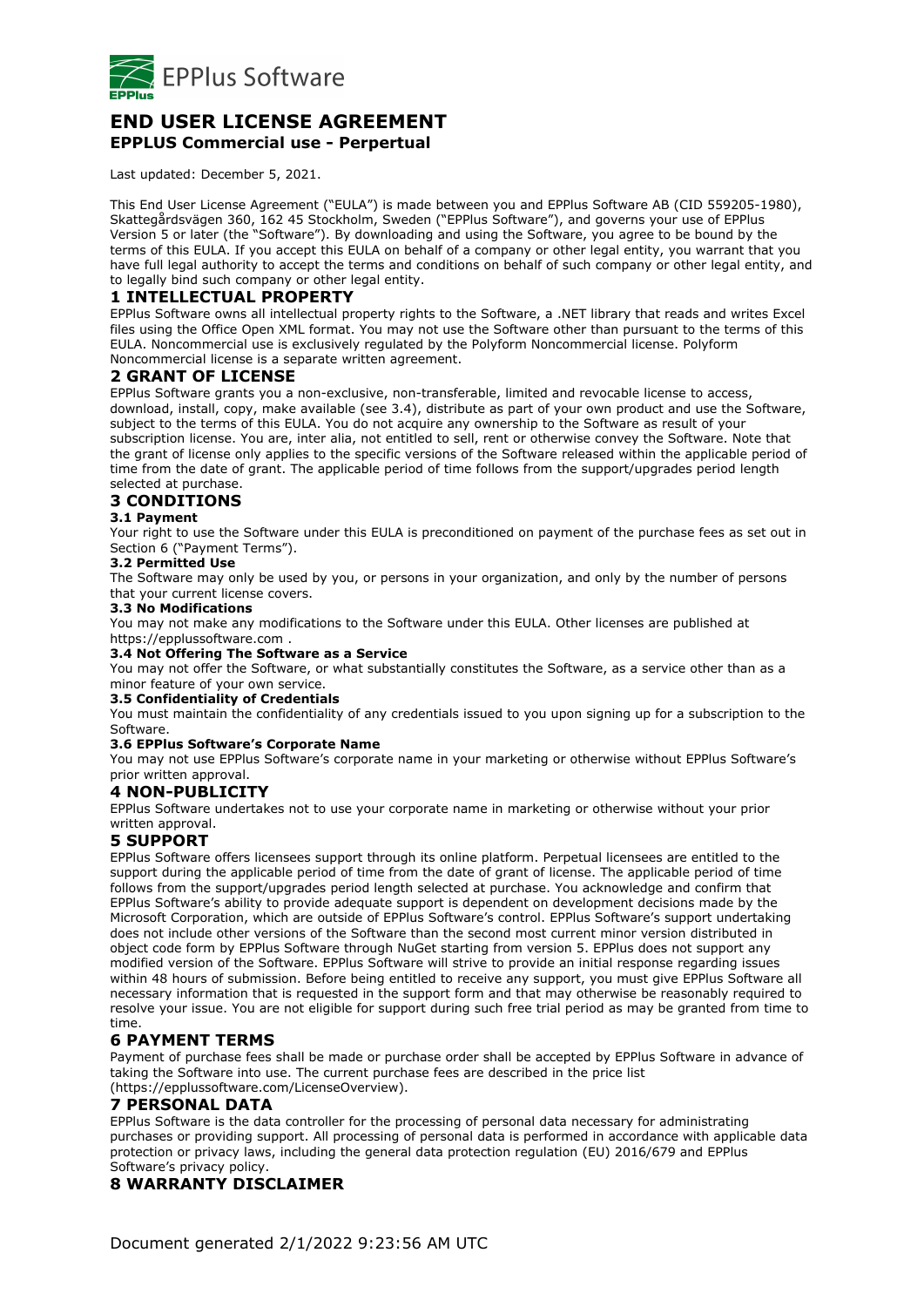

# **END USER LICENSE AGREEMENT EPPLUS Commercial use - Perpertual**

Last updated: December 5, 2021.

This End User License Agreement ("EULA") is made between you and EPPlus Software AB (CID 559205-1980), Skattegårdsvägen 360, 162 45 Stockholm, Sweden ("EPPlus Software"), and governs your use of EPPlus Version 5 or later (the "Software"). By downloading and using the Software, you agree to be bound by the terms of this EULA. If you accept this EULA on behalf of a company or other legal entity, you warrant that you have full legal authority to accept the terms and conditions on behalf of such company or other legal entity, and to legally bind such company or other legal entity.

# **1 INTELLECTUAL PROPERTY**

EPPlus Software owns all intellectual property rights to the Software, a .NET library that reads and writes Excel files using the Office Open XML format. You may not use the Software other than pursuant to the terms of this EULA. Noncommercial use is exclusively regulated by the Polyform Noncommercial license. Polyform Noncommercial license is a separate written agreement.

### **2 GRANT OF LICENSE**

EPPlus Software grants you a non-exclusive, non-transferable, limited and revocable license to access, download, install, copy, make available (see 3.4), distribute as part of your own product and use the Software, subject to the terms of this EULA. You do not acquire any ownership to the Software as result of your subscription license. You are, inter alia, not entitled to sell, rent or otherwise convey the Software. Note that the grant of license only applies to the specific versions of the Software released within the applicable period of time from the date of grant. The applicable period of time follows from the support/upgrades period length selected at purchase.

# **3 CONDITIONS**

#### **3.1 Payment**

Your right to use the Software under this EULA is preconditioned on payment of the purchase fees as set out in Section 6 ("Payment Terms").

#### **3.2 Permitted Use**

The Software may only be used by you, or persons in your organization, and only by the number of persons that your current license covers.

#### **3.3 No Modifications**

You may not make any modifications to the Software under this EULA. Other licenses are published at https://epplussoftware.com .

### **3.4 Not Offering The Software as a Service**

You may not offer the Software, or what substantially constitutes the Software, as a service other than as a minor feature of your own service.

#### **3.5 Confidentiality of Credentials**

You must maintain the confidentiality of any credentials issued to you upon signing up for a subscription to the Software.

#### **3.6 EPPlus Software's Corporate Name**

You may not use EPPlus Software's corporate name in your marketing or otherwise without EPPlus Software's prior written approval.

#### **4 NON-PUBLICITY**

EPPlus Software undertakes not to use your corporate name in marketing or otherwise without your prior written approval.

### **5 SUPPORT**

EPPlus Software offers licensees support through its online platform. Perpetual licensees are entitled to the support during the applicable period of time from the date of grant of license. The applicable period of time follows from the support/upgrades period length selected at purchase. You acknowledge and confirm that EPPlus Software's ability to provide adequate support is dependent on development decisions made by the Microsoft Corporation, which are outside of EPPlus Software's control. EPPlus Software's support undertaking does not include other versions of the Software than the second most current minor version distributed in object code form by EPPlus Software through NuGet starting from version 5. EPPlus does not support any modified version of the Software. EPPlus Software will strive to provide an initial response regarding issues within 48 hours of submission. Before being entitled to receive any support, you must give EPPlus Software all necessary information that is requested in the support form and that may otherwise be reasonably required to resolve your issue. You are not eligible for support during such free trial period as may be granted from time to time.

# **6 PAYMENT TERMS**

Payment of purchase fees shall be made or purchase order shall be accepted by EPPlus Software in advance of taking the Software into use. The current purchase fees are described in the price list

### (https://epplussoftware.com/LicenseOverview).

### **7 PERSONAL DATA**

EPPlus Software is the data controller for the processing of personal data necessary for administrating purchases or providing support. All processing of personal data is performed in accordance with applicable data protection or privacy laws, including the general data protection regulation (EU) 2016/679 and EPPlus Software's privacy policy.

# **8 WARRANTY DISCLAIMER**